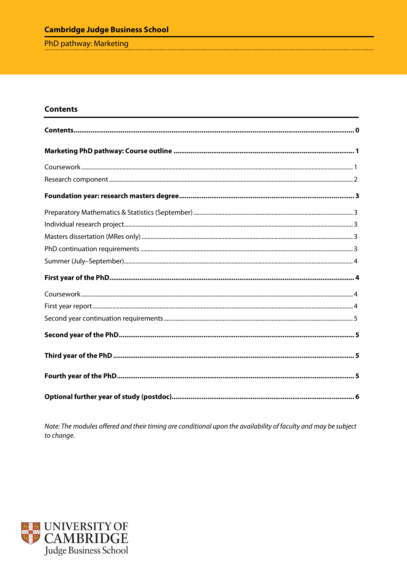# **Cambridge Judge Business School**

PhD pathway: Marketing

## <span id="page-0-0"></span>**Contents**

Note: The modules offered and their timing are conditional upon the availability of faculty and may be subject to change.

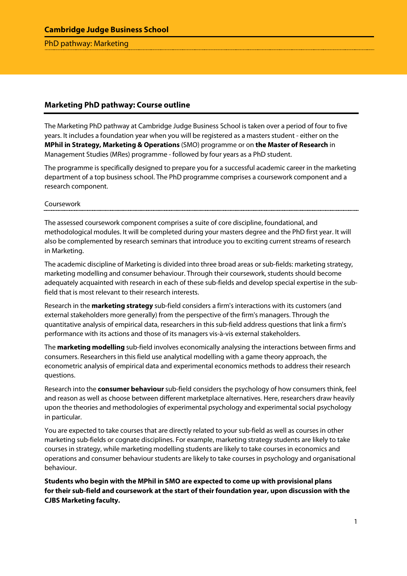## **Cambridge Judge Business School**

#### PhD pathway: Marketing

### <span id="page-1-0"></span>**Marketing PhD pathway: Course outline**

The Marketing PhD pathway at Cambridge Judge Business School is taken over a period of four to five years. It includes a foundation year when you will be registered as a masters student - either on the **MPhil in Strategy, Marketing & Operations** (SMO) programme or on **the Master of Research** in Management Studies (MRes) programme - followed by four years as a PhD student.

The programme is specifically designed to prepare you for a successful academic career in the marketing department of a top business school. The PhD programme comprises a coursework component and a research component.

#### <span id="page-1-1"></span>Coursework

The assessed coursework component comprises a suite of core discipline, foundational, and methodological modules. It will be completed during your masters degree and the PhD first year. It will also be complemented by research seminars that introduce you to exciting current streams of research in Marketing.

The academic discipline of Marketing is divided into three broad areas or sub-fields: marketing strategy, marketing modelling and consumer behaviour. Through their coursework, students should become adequately acquainted with research in each of these sub-fields and develop special expertise in the subfield that is most relevant to their research interests.

Research in the **marketing strategy** sub-field considers a firm's interactions with its customers (and external stakeholders more generally) from the perspective of the firm's managers. Through the quantitative analysis of empirical data, researchers in this sub-field address questions that link a firm's performance with its actions and those of its managers vis-à-vis external stakeholders.

The **marketing modelling** sub-field involves economically analysing the interactions between firms and consumers. Researchers in this field use analytical modelling with a game theory approach, the econometric analysis of empirical data and experimental economics methods to address their research questions.

Research into the **consumer behaviour** sub-field considers the psychology of how consumers think, feel and reason as well as choose between different marketplace alternatives. Here, researchers draw heavily upon the theories and methodologies of experimental psychology and experimental social psychology in particular.

You are expected to take courses that are directly related to your sub-field as well as courses in other marketing sub-fields or cognate disciplines. For example, marketing strategy students are likely to take courses in strategy, while marketing modelling students are likely to take courses in economics and operations and consumer behaviour students are likely to take courses in psychology and organisational behaviour.

**Students who begin with the MPhil in SMO are expected to come up with provisional plans for their sub-field and coursework at the start of their foundation year, upon discussion with the CJBS Marketing faculty.**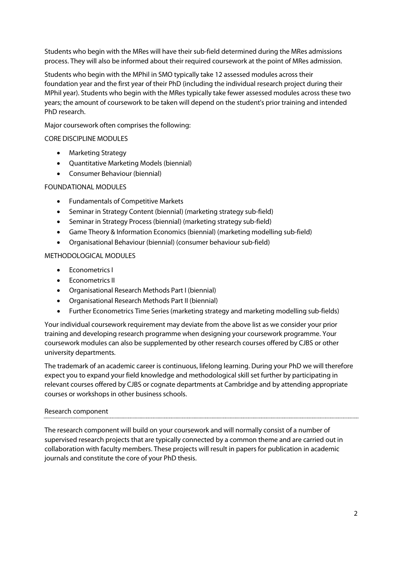Students who begin with the MRes will have their sub-field determined during the MRes admissions process. They will also be informed about their required coursework at the point of MRes admission.

Students who begin with the MPhil in SMO typically take 12 assessed modules across their foundation year and the first year of their PhD (including the individual research project during their MPhil year). Students who begin with the MRes typically take fewer assessed modules across these two years; the amount of coursework to be taken will depend on the student's prior training and intended PhD research.

Major coursework often comprises the following:

## CORE DISCIPLINE MODULES

- Marketing Strategy
- Quantitative Marketing Models (biennial)
- Consumer Behaviour (biennial)

## FOUNDATIONAL MODULES

- Fundamentals of Competitive Markets
- Seminar in Strategy Content (biennial) (marketing strategy sub-field)
- Seminar in Strategy Process (biennial) (marketing strategy sub-field)
- Game Theory & Information Economics (biennial) (marketing modelling sub-field)
- Organisational Behaviour (biennial) (consumer behaviour sub-field)

### METHODOLOGICAL MODULES

- Econometrics I
- **Econometrics II**
- Organisational Research Methods Part I (biennial)
- Organisational Research Methods Part II (biennial)
- Further Econometrics Time Series (marketing strategy and marketing modelling sub-fields)

Your individual coursework requirement may deviate from the above list as we consider your prior training and developing research programme when designing your coursework programme. Your coursework modules can also be supplemented by other research courses offered by CJBS or other university departments.

The trademark of an academic career is continuous, lifelong learning. During your PhD we will therefore expect you to expand your field knowledge and methodological skill set further by participating in relevant courses offered by CJBS or cognate departments at Cambridge and by attending appropriate courses or workshops in other business schools.

#### <span id="page-2-0"></span>Research component

<span id="page-2-1"></span>The research component will build on your coursework and will normally consist of a number of supervised research projects that are typically connected by a common theme and are carried out in collaboration with faculty members. These projects will result in papers for publication in academic journals and constitute the core of your PhD thesis.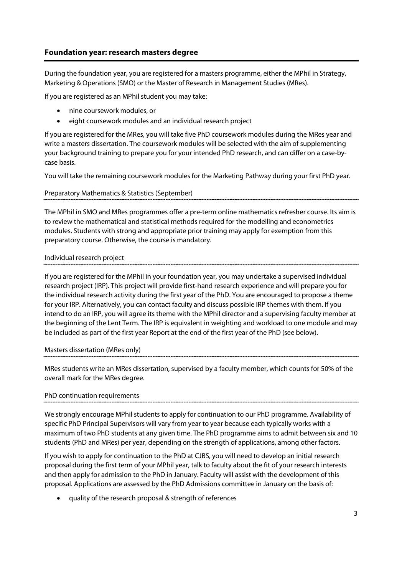## **Foundation year: research masters degree**

During the foundation year, you are registered for a masters programme, either the MPhil in Strategy, Marketing & Operations (SMO) or the Master of Research in Management Studies (MRes).

If you are registered as an MPhil student you may take:

- nine coursework modules, or
- eight coursework modules and an individual research project

If you are registered for the MRes, you will take five PhD coursework modules during the MRes year and write a masters dissertation. The coursework modules will be selected with the aim of supplementing your background training to prepare you for your intended PhD research, and can differ on a case-bycase basis.

You will take the remaining coursework modules for the Marketing Pathway during your first PhD year.

### <span id="page-3-0"></span>Preparatory Mathematics & Statistics (September)

The MPhil in SMO and MRes programmes offer a pre-term online mathematics refresher course. Its aim is to review the mathematical and statistical methods required for the modelling and econometrics modules. Students with strong and appropriate prior training may apply for exemption from this preparatory course. Otherwise, the course is mandatory.

### <span id="page-3-1"></span>Individual research project

If you are registered for the MPhil in your foundation year, you may undertake a supervised individual research project (IRP). This project will provide first-hand research experience and will prepare you for the individual research activity during the first year of the PhD. You are encouraged to propose a theme for your IRP. Alternatively, you can contact faculty and discuss possible IRP themes with them. If you intend to do an IRP, you will agree its theme with the MPhil director and a supervising faculty member at the beginning of the Lent Term. The IRP is equivalent in weighting and workload to one module and may be included as part of the first year Report at the end of the first year of the PhD (see below).

#### <span id="page-3-2"></span>Masters dissertation (MRes only)

MRes students write an MRes dissertation, supervised by a faculty member, which counts for 50% of the overall mark for the MRes degree.

## <span id="page-3-3"></span>PhD continuation requirements

We strongly encourage MPhil students to apply for continuation to our PhD programme. Availability of specific PhD Principal Supervisors will vary from year to year because each typically works with a maximum of two PhD students at any given time. The PhD programme aims to admit between six and 10 students (PhD and MRes) per year, depending on the strength of applications, among other factors.

If you wish to apply for continuation to the PhD at CJBS, you will need to develop an initial research proposal during the first term of your MPhil year, talk to faculty about the fit of your research interests and then apply for admission to the PhD in January. Faculty will assist with the development of this proposal. Applications are assessed by the PhD Admissions committee in January on the basis of:

• quality of the research proposal & strength of references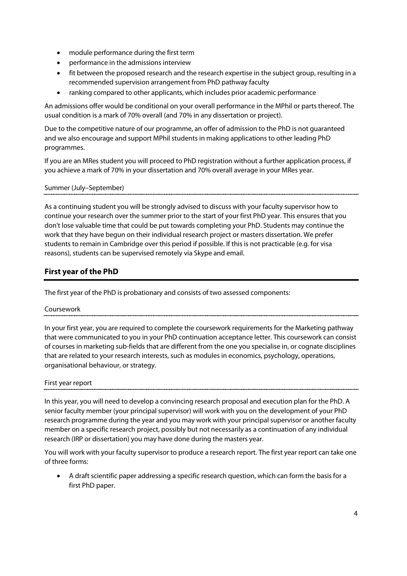- module performance during the first term
- performance in the admissions interview
- fit between the proposed research and the research expertise in the subject group, resulting in a recommended supervision arrangement from PhD pathway faculty
- ranking compared to other applicants, which includes prior academic performance

An admissions offer would be conditional on your overall performance in the MPhil or parts thereof. The usual condition is a mark of 70% overall (and 70% in any dissertation or project).

Due to the competitive nature of our programme, an offer of admission to the PhD is not guaranteed and we also encourage and support MPhil students in making applications to other leading PhD programmes.

If you are an MRes student you will proceed to PhD registration without a further application process, if you achieve a mark of 70% in your dissertation and 70% overall average in your MRes year.

#### <span id="page-4-0"></span>Summer (July–September)

As a continuing student you will be strongly advised to discuss with your faculty supervisor how to continue your research over the summer prior to the start of your first PhD year. This ensures that you don't lose valuable time that could be put towards completing your PhD. Students may continue the work that they have begun on their individual research project or masters dissertation. We prefer students to remain in Cambridge over this period if possible. If this is not practicable (e.g. for visa reasons), students can be supervised remotely via Skype and email.

## <span id="page-4-1"></span>**First year of the PhD**

<span id="page-4-2"></span>The first year of the PhD is probationary and consists of two assessed components:

#### Coursework

In your first year, you are required to complete the coursework requirements for the Marketing pathway that were communicated to you in your PhD continuation acceptance letter. This coursework can consist of courses in marketing sub-fields that are different from the one you specialise in, or cognate disciplines that are related to your research interests, such as modules in economics, psychology, operations, organisational behaviour, or strategy.

#### <span id="page-4-3"></span>First year report

In this year, you will need to develop a convincing research proposal and execution plan for the PhD. A senior faculty member (your principal supervisor) will work with you on the development of your PhD research programme during the year and you may work with your principal supervisor or another faculty member on a specific research project, possibly but not necessarily as a continuation of any individual research (IRP or dissertation) you may have done during the masters year.

You will work with your faculty supervisor to produce a research report. The first year report can take one of three forms:

• A draft scientific paper addressing a specific research question, which can form the basis for a first PhD paper.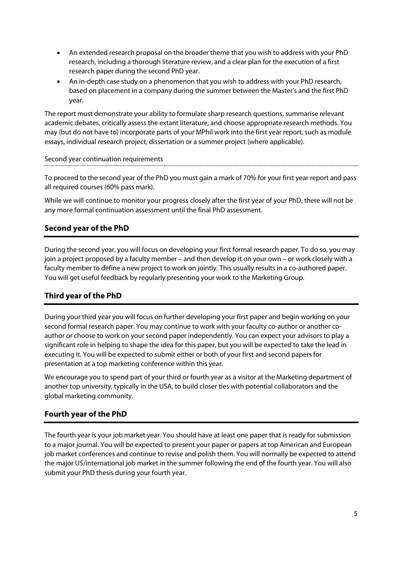- An extended research proposal on the broader theme that you wish to address with your PhD research, including a thorough literature review, and a clear plan for the execution of a first research paper during the second PhD year.
- An in-depth case study on a phenomenon that you wish to address with your PhD research, based on placement in a company during the summer between the Master's and the first PhD year.

The report must demonstrate your ability to formulate sharp research questions, summarise relevant academic debates, critically assess the extant literature, and choose appropriate research methods. You may (but do not have to) incorporate parts of your MPhil work into the first year report, such as module essays, individual research project, dissertation or a summer project (where applicable).

### <span id="page-5-0"></span>Second year continuation requirements

To proceed to the second year of the PhD you must gain a mark of 70% for your first year report and pass all required courses (60% pass mark).

While we will continue to monitor your progress closely after the first year of your PhD, there will not be any more formal continuation assessment until the final PhD assessment.

## <span id="page-5-1"></span>**Second year of the PhD**

During the second year, you will focus on developing your first formal research paper. To do so, you may join a project proposed by a faculty member – and then develop it on your own – or work closely with a faculty member to define a new project to work on jointly. This usually results in a co-authored paper. You will get useful feedback by regularly presenting your work to the Marketing Group.

## <span id="page-5-2"></span>**Third year of the PhD**

During your third year you will focus on further developing your first paper and begin working on your second formal research paper. You may continue to work with your faculty co-author or another coauthor or choose to work on your second paper independently. You can expect your advisors to play a significant role in helping to shape the idea for this paper, but you will be expected to take the lead in executing it. You will be expected to submit either or both of your first and second papers for presentation at a top marketing conference within this year.

We encourage you to spend part of your third or fourth year as a visitor at the Marketing department of another top university, typically in the USA, to build closer ties with potential collaborators and the global marketing community.

## <span id="page-5-3"></span>**Fourth year of the PhD**

The fourth year is your job market year. You should have at least one paper that is ready for submission to a major journal. You will be expected to present your paper or papers at top American and European job market conferences and continue to revise and polish them. You will normally be expected to attend the major US/international job market in the summer following the end of the fourth year. You will also submit your PhD thesis during your fourth year.